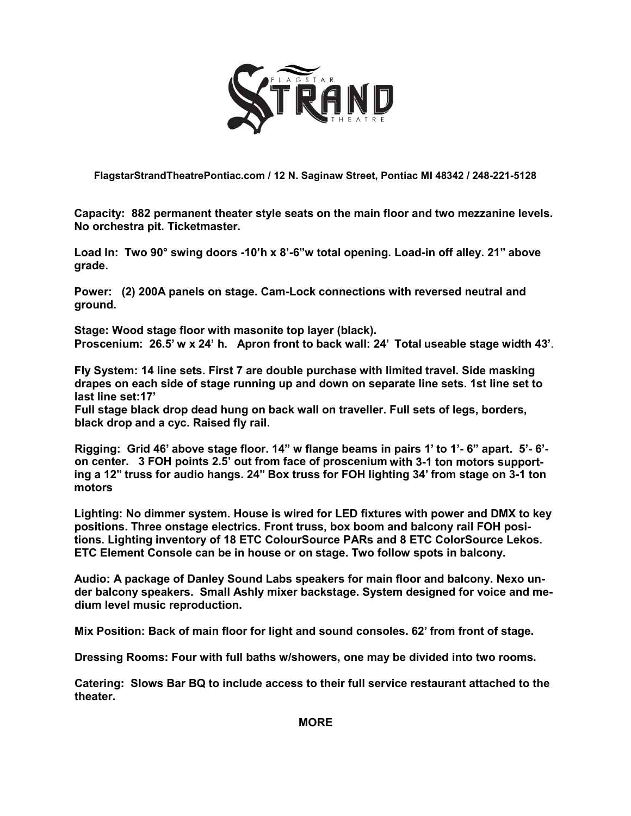

**FlagstarStrandTheatrePontiac.com / 12 N. Saginaw Street, Pontiac MI 48342 / 248-221-5128**

**Capacity: 882 permanent theater style seats on the main floor and two mezzanine levels. No orchestra pit. Ticketmaster.** 

**Load In: Two 90° swing doors -10'h x 8'-6"w total opening. Load-in off alley. 21" above grade.**

**Power: (2) 200A panels on stage. Cam-Lock connections with reversed neutral and ground.**

**Stage: Wood stage floor with masonite top layer (black). Proscenium: 26.5' w x 24' h. Apron front to back wall: 24' Total useable stage width 43'**.

**Fly System: 14 line sets. First 7 are double purchase with limited travel. Side masking drapes on each side of stage running up and down on separate line sets. 1st line set to last line set:17'**

**Full stage black drop dead hung on back wall on traveller. Full sets of legs, borders, black drop and a cyc. Raised fly rail.**

**Rigging: Grid 46' above stage floor. 14" w flange beams in pairs 1' to 1'- 6" apart. 5'- 6' on center. 3 FOH points 2.5' out from face of proscenium with 3-1 ton motors supporting a 12" truss for audio hangs. 24" Box truss for FOH lighting 34' from stage on 3-1 ton motors**

**Lighting: No dimmer system. House is wired for LED fixtures with power and DMX to key positions. Three onstage electrics. Front truss, box boom and balcony rail FOH positions. Lighting inventory of 18 ETC ColourSource PARs and 8 ETC ColorSource Lekos. ETC Element Console can be in house or on stage. Two follow spots in balcony.**

**Audio: A package of Danley Sound Labs speakers for main floor and balcony. Nexo under balcony speakers. Small Ashly mixer backstage. System designed for voice and medium level music reproduction.**

**Mix Position: Back of main floor for light and sound consoles. 62' from front of stage.**

**Dressing Rooms: Four with full baths w/showers, one may be divided into two rooms.**

**Catering: Slows Bar BQ to include access to their full service restaurant attached to the theater.**

**MORE**